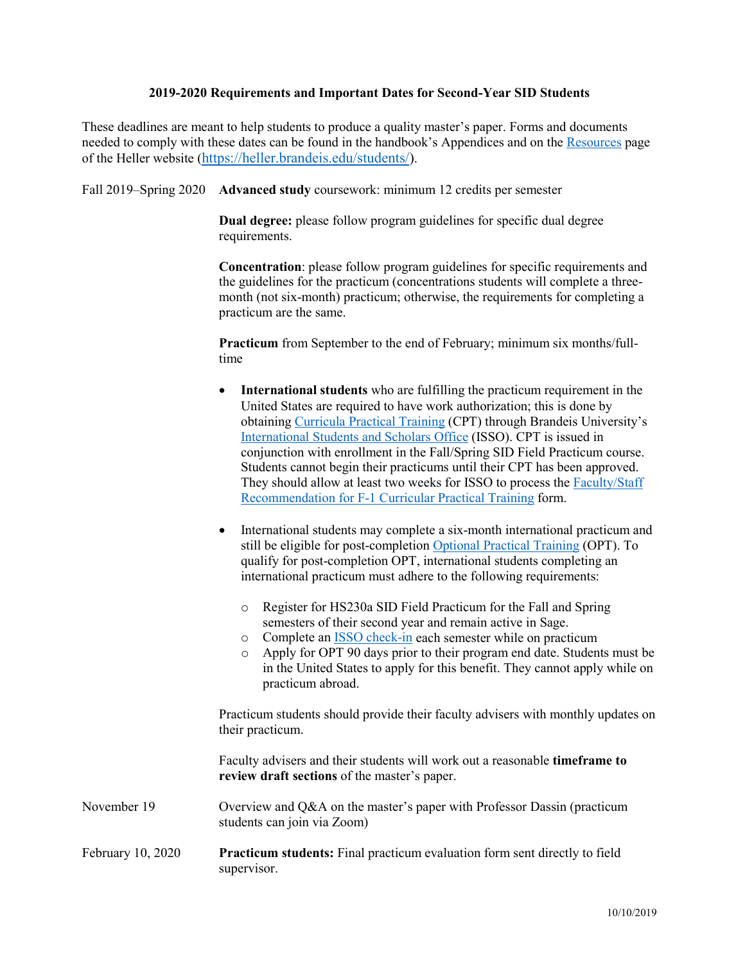## **2019-2020 Requirements and Important Dates for Second-Year SID Students**

These deadlines are meant to help students to produce a quality master's paper. Forms and documents needed to comply with these dates can be found in the handbook's Appendices and on the [Resources](http://heller.brandeis.edu/students/) page of the Heller website [\(https://heller.brandeis.edu/students/\)](https://heller.brandeis.edu/students/).

Fall 2019–Spring 2020 **Advanced study** coursework: minimum 12 credits per semester

**Dual degree:** please follow program guidelines for specific dual degree requirements.

**Concentration**: please follow program guidelines for specific requirements and the guidelines for the practicum (concentrations students will complete a threemonth (not six-month) practicum; otherwise, the requirements for completing a practicum are the same.

**Practicum** from September to the end of February; minimum six months/fulltime

- **International students** who are fulfilling the practicum requirement in the United States are required to have work authorization; this is done by obtaining [Curricula Practical Training](https://www.brandeis.edu/isso/current/employment/cpt/) (CPT) through Brandeis University's [International Students](https://www.brandeis.edu/isso/index.html) and Scholars Office (ISSO). CPT is issued in conjunction with enrollment in the Fall/Spring SID Field Practicum course. Students cannot begin their practicums until their CPT has been approved. They should allow at least two weeks for ISSO to process the [Faculty/Staff](https://www.brandeis.edu/isso/documents/current/employment/curricular-practical-training/advisor-recommendation.pdf)  [Recommendation for F-1 Curricular](https://www.brandeis.edu/isso/documents/current/employment/curricular-practical-training/advisor-recommendation.pdf) Practical Training form.
- International students may complete a six-month international practicum and still be eligible for post-completion [Optional Practical Training](http://www.brandeis.edu/isso/current/employment/opt/) (OPT). To qualify for post-completion OPT, international students completing an international practicum must adhere to the following requirements:
	- o Register for HS230a SID Field Practicum for the Fall and Spring semesters of their second year and remain active in Sage.
	- o Complete a[n ISSO check-in](https://www.brandeis.edu/isso/current/checkin/index.html) each semester while on practicum
	- o Apply for OPT 90 days prior to their program end date. Students must be in the United States to apply for this benefit. They cannot apply while on practicum abroad.

Practicum students should provide their faculty advisers with monthly updates on their practicum.

Faculty advisers and their students will work out a reasonable **timeframe to review draft sections** of the master's paper.

- November 19 Overview and O&A on the master's paper with Professor Dassin (practicum students can join via Zoom)
- February 10, 2020 **Practicum students:** Final practicum evaluation form sent directly to field supervisor.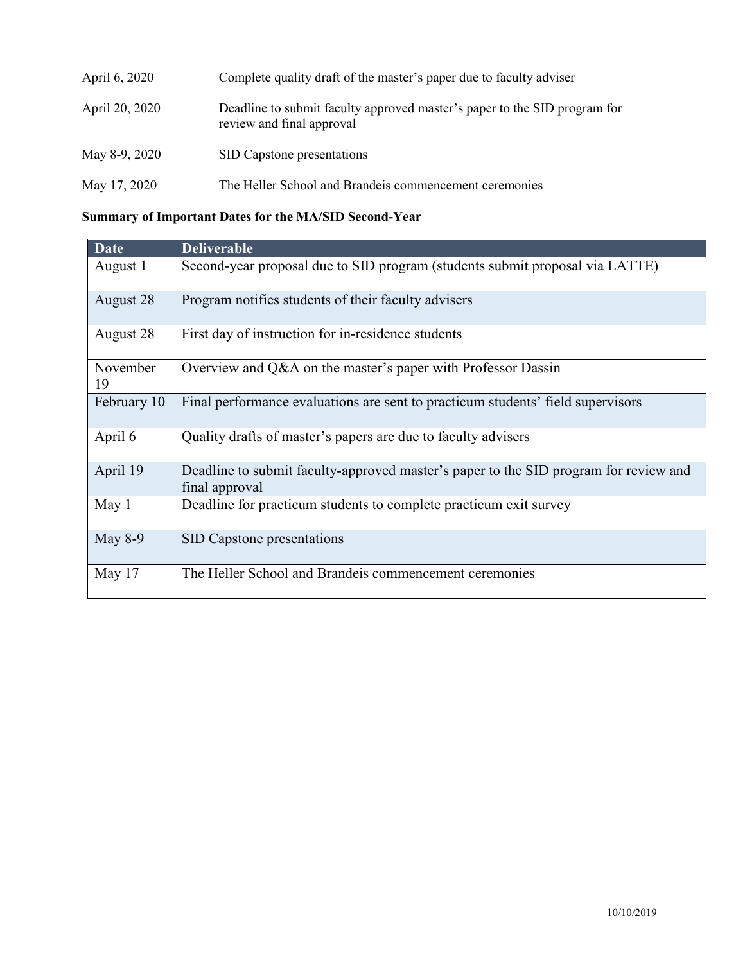| April 6, 2020  | Complete quality draft of the master's paper due to faculty adviser                                    |
|----------------|--------------------------------------------------------------------------------------------------------|
| April 20, 2020 | Deadline to submit faculty approved master's paper to the SID program for<br>review and final approval |
| May 8-9, 2020  | SID Capstone presentations                                                                             |
| May 17, 2020   | The Heller School and Brandeis commencement ceremonies                                                 |

## **Summary of Important Dates for the MA/SID Second-Year**

| <b>Date</b>    | <b>Deliverable</b>                                                                                     |
|----------------|--------------------------------------------------------------------------------------------------------|
| August 1       | Second-year proposal due to SID program (students submit proposal via LATTE)                           |
| August 28      | Program notifies students of their faculty advisers                                                    |
| August 28      | First day of instruction for in-residence students                                                     |
| November<br>19 | Overview and Q&A on the master's paper with Professor Dassin                                           |
| February 10    | Final performance evaluations are sent to practicum students' field supervisors                        |
| April 6        | Quality drafts of master's papers are due to faculty advisers                                          |
| April 19       | Deadline to submit faculty-approved master's paper to the SID program for review and<br>final approval |
| May 1          | Deadline for practicum students to complete practicum exit survey                                      |
| May 8-9        | <b>SID Capstone presentations</b>                                                                      |
| May 17         | The Heller School and Brandeis commencement ceremonies                                                 |